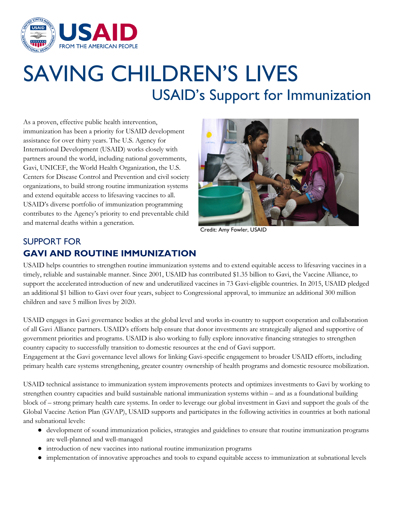

## SAVING CHILDREN'S LIVES USAID's Support for Immunization

As a proven, effective public health intervention, immunization has been a priority for USAID development assistance for over thirty years. The U.S. Agency for International Development (USAID) works closely with partners around the world, including national governments, Gavi, UNICEF, the World Health Organization, the U.S. Centers for Disease Control and Prevention and civil society organizations, to build strong routine immunization systems and extend equitable access to lifesaving vaccines to all. USAID's diverse portfolio of immunization programming contributes to the Agency's priority to end preventable child and maternal deaths within a generation.



Credit: Amy Fowler, USAID

## SUPPORT FOR **GAVI AND ROUTINE IMMUNIZATION**

USAID helps countries to strengthen routine immunization systems and to extend equitable access to lifesaving vaccines in a timely, reliable and sustainable manner. Since 2001, USAID has contributed \$1.35 billion to Gavi, the Vaccine Alliance, to support the accelerated introduction of new and underutilized vaccines in 73 Gavi-eligible countries. In 2015, USAID pledged an additional \$1 billion to Gavi over four years, subject to Congressional approval, to immunize an additional 300 million children and save 5 million lives by 2020.

USAID engages in Gavi governance bodies at the global level and works in-country to support cooperation and collaboration of all Gavi Alliance partners. USAID's efforts help ensure that donor investments are strategically aligned and supportive of government priorities and programs. USAID is also working to fully explore innovative financing strategies to strengthen country capacity to successfully transition to domestic resources at the end of Gavi support.

Engagement at the Gavi governance level allows for linking Gavi-specific engagement to broader USAID efforts, including primary health care systems strengthening, greater country ownership of health programs and domestic resource mobilization.

USAID technical assistance to immunization system improvements protects and optimizes investments to Gavi by working to strengthen country capacities and build sustainable national immunization systems within – and as a foundational building block of – strong primary health care systems. In order to leverage our global investment in Gavi and support the goals of the Global Vaccine Action Plan (GVAP), USAID supports and participates in the following activities in countries at both national and subnational levels:

- development of sound immunization policies, strategies and guidelines to ensure that routine immunization programs are well-planned and well-managed
- introduction of new vaccines into national routine immunization programs
- implementation of innovative approaches and tools to expand equitable access to immunization at subnational levels